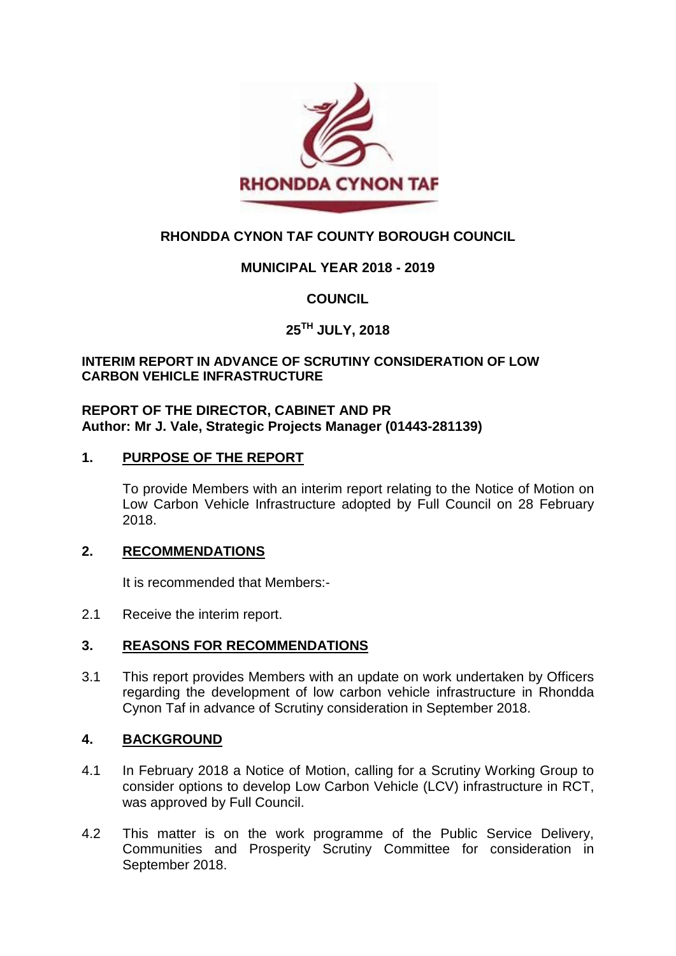

# **RHONDDA CYNON TAF COUNTY BOROUGH COUNCIL**

## **MUNICIPAL YEAR 2018 - 2019**

### **COUNCIL**

# **25TH JULY, 2018**

#### **INTERIM REPORT IN ADVANCE OF SCRUTINY CONSIDERATION OF LOW CARBON VEHICLE INFRASTRUCTURE**

#### **REPORT OF THE DIRECTOR, CABINET AND PR Author: Mr J. Vale, Strategic Projects Manager (01443-281139)**

#### **1. PURPOSE OF THE REPORT**

To provide Members with an interim report relating to the Notice of Motion on Low Carbon Vehicle Infrastructure adopted by Full Council on 28 February 2018.

#### **2. RECOMMENDATIONS**

It is recommended that Members:-

2.1 Receive the interim report.

#### **3. REASONS FOR RECOMMENDATIONS**

3.1 This report provides Members with an update on work undertaken by Officers regarding the development of low carbon vehicle infrastructure in Rhondda Cynon Taf in advance of Scrutiny consideration in September 2018.

#### **4. BACKGROUND**

- 4.1 In February 2018 a Notice of Motion, calling for a Scrutiny Working Group to consider options to develop Low Carbon Vehicle (LCV) infrastructure in RCT, was approved by Full Council.
- 4.2 This matter is on the work programme of the Public Service Delivery, Communities and Prosperity Scrutiny Committee for consideration in September 2018.